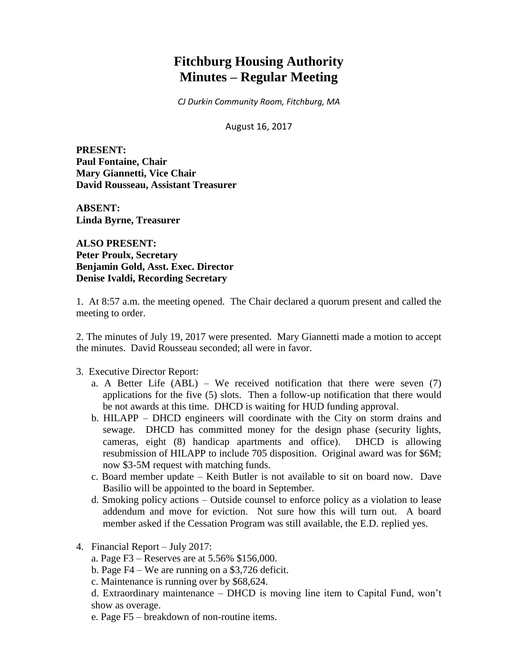# **Fitchburg Housing Authority Minutes – Regular Meeting**

*CJ Durkin Community Room, Fitchburg, MA*

August 16, 2017

**PRESENT: Paul Fontaine, Chair Mary Giannetti, Vice Chair David Rousseau, Assistant Treasurer**

**ABSENT: Linda Byrne, Treasurer**

**ALSO PRESENT: Peter Proulx, Secretary Benjamin Gold, Asst. Exec. Director Denise Ivaldi, Recording Secretary**

1. At 8:57 a.m. the meeting opened. The Chair declared a quorum present and called the meeting to order.

2. The minutes of July 19, 2017 were presented. Mary Giannetti made a motion to accept the minutes. David Rousseau seconded; all were in favor.

#### 3. Executive Director Report:

- a. A Better Life  $(ABL)$  We received notification that there were seven  $(7)$ applications for the five (5) slots. Then a follow-up notification that there would be not awards at this time. DHCD is waiting for HUD funding approval.
- b. HILAPP DHCD engineers will coordinate with the City on storm drains and sewage. DHCD has committed money for the design phase (security lights, cameras, eight (8) handicap apartments and office). DHCD is allowing resubmission of HILAPP to include 705 disposition. Original award was for \$6M; now \$3-5M request with matching funds.
- c. Board member update Keith Butler is not available to sit on board now. Dave Basilio will be appointed to the board in September.
- d. Smoking policy actions Outside counsel to enforce policy as a violation to lease addendum and move for eviction. Not sure how this will turn out. A board member asked if the Cessation Program was still available, the E.D. replied yes.
- 4. Financial Report July 2017:
	- a. Page F3 Reserves are at 5.56% \$156,000.
	- b. Page F4 We are running on a \$3,726 deficit.
	- c. Maintenance is running over by \$68,624.
	- d. Extraordinary maintenance DHCD is moving line item to Capital Fund, won't show as overage.
	- e. Page F5 breakdown of non-routine items.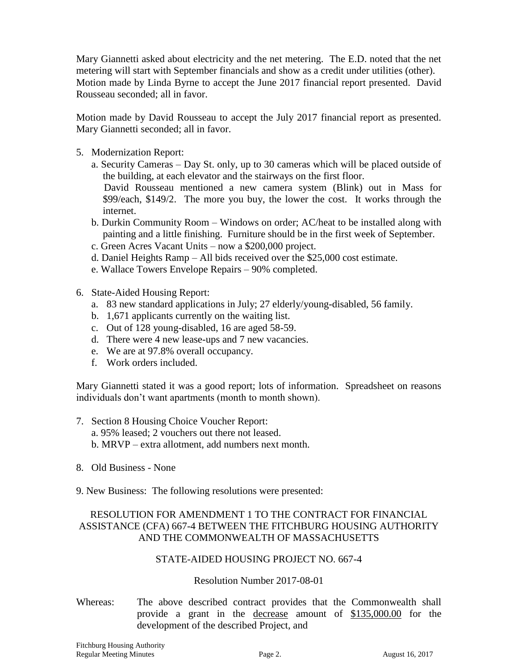Mary Giannetti asked about electricity and the net metering. The E.D. noted that the net metering will start with September financials and show as a credit under utilities (other). Motion made by Linda Byrne to accept the June 2017 financial report presented. David Rousseau seconded; all in favor.

Motion made by David Rousseau to accept the July 2017 financial report as presented. Mary Giannetti seconded; all in favor.

- 5. Modernization Report:
	- a. Security Cameras Day St. only, up to 30 cameras which will be placed outside of the building, at each elevator and the stairways on the first floor.
		- David Rousseau mentioned a new camera system (Blink) out in Mass for \$99/each, \$149/2. The more you buy, the lower the cost. It works through the internet.
	- b. Durkin Community Room Windows on order; AC/heat to be installed along with painting and a little finishing. Furniture should be in the first week of September.
	- c. Green Acres Vacant Units now a \$200,000 project.
	- d. Daniel Heights Ramp All bids received over the \$25,000 cost estimate.
	- e. Wallace Towers Envelope Repairs 90% completed.
- 6. State-Aided Housing Report:
	- a. 83 new standard applications in July; 27 elderly/young-disabled, 56 family.
	- b. 1,671 applicants currently on the waiting list.
	- c. Out of 128 young-disabled, 16 are aged 58-59.
	- d. There were 4 new lease-ups and 7 new vacancies.
	- e. We are at 97.8% overall occupancy.
	- f. Work orders included.

Mary Giannetti stated it was a good report; lots of information. Spreadsheet on reasons individuals don't want apartments (month to month shown).

- 7. Section 8 Housing Choice Voucher Report:
	- a. 95% leased; 2 vouchers out there not leased.
	- b. MRVP extra allotment, add numbers next month.
- 8. Old Business None
- 9. New Business: The following resolutions were presented:

# RESOLUTION FOR AMENDMENT 1 TO THE CONTRACT FOR FINANCIAL ASSISTANCE (CFA) 667-4 BETWEEN THE FITCHBURG HOUSING AUTHORITY AND THE COMMONWEALTH OF MASSACHUSETTS

## STATE-AIDED HOUSING PROJECT NO. 667-4

# Resolution Number 2017-08-01

Whereas: The above described contract provides that the Commonwealth shall provide a grant in the decrease amount of \$135,000.00 for the development of the described Project, and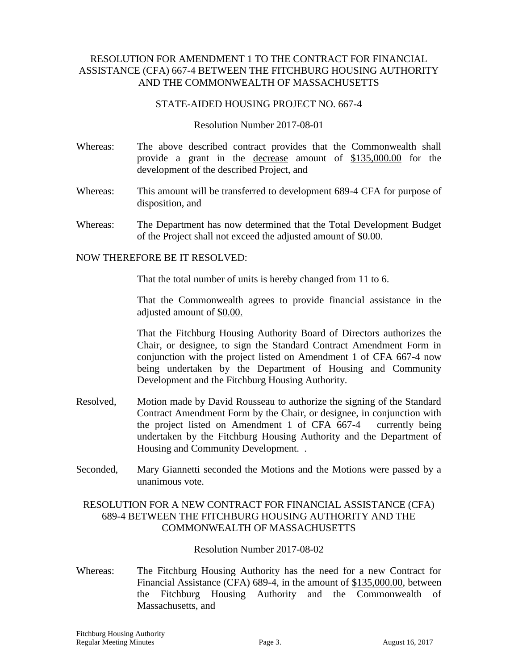# RESOLUTION FOR AMENDMENT 1 TO THE CONTRACT FOR FINANCIAL ASSISTANCE (CFA) 667-4 BETWEEN THE FITCHBURG HOUSING AUTHORITY AND THE COMMONWEALTH OF MASSACHUSETTS

#### STATE-AIDED HOUSING PROJECT NO. 667-4

Resolution Number 2017-08-01

- Whereas: The above described contract provides that the Commonwealth shall provide a grant in the decrease amount of \$135,000.00 for the development of the described Project, and
- Whereas: This amount will be transferred to development 689-4 CFA for purpose of disposition, and
- Whereas: The Department has now determined that the Total Development Budget of the Project shall not exceed the adjusted amount of \$0.00.

#### NOW THEREFORE BE IT RESOLVED:

That the total number of units is hereby changed from 11 to 6.

That the Commonwealth agrees to provide financial assistance in the adjusted amount of \$0.00.

That the Fitchburg Housing Authority Board of Directors authorizes the Chair, or designee, to sign the Standard Contract Amendment Form in conjunction with the project listed on Amendment 1 of CFA 667-4 now being undertaken by the Department of Housing and Community Development and the Fitchburg Housing Authority.

- Resolved, Motion made by David Rousseau to authorize the signing of the Standard Contract Amendment Form by the Chair, or designee, in conjunction with the project listed on Amendment 1 of CFA 667-4 currently being undertaken by the Fitchburg Housing Authority and the Department of Housing and Community Development. .
- Seconded, Mary Giannetti seconded the Motions and the Motions were passed by a unanimous vote.

# RESOLUTION FOR A NEW CONTRACT FOR FINANCIAL ASSISTANCE (CFA) 689-4 BETWEEN THE FITCHBURG HOUSING AUTHORITY AND THE COMMONWEALTH OF MASSACHUSETTS

Resolution Number 2017-08-02

Whereas: The Fitchburg Housing Authority has the need for a new Contract for Financial Assistance (CFA) 689-4, in the amount of \$135,000.00, between the Fitchburg Housing Authority and the Commonwealth of Massachusetts, and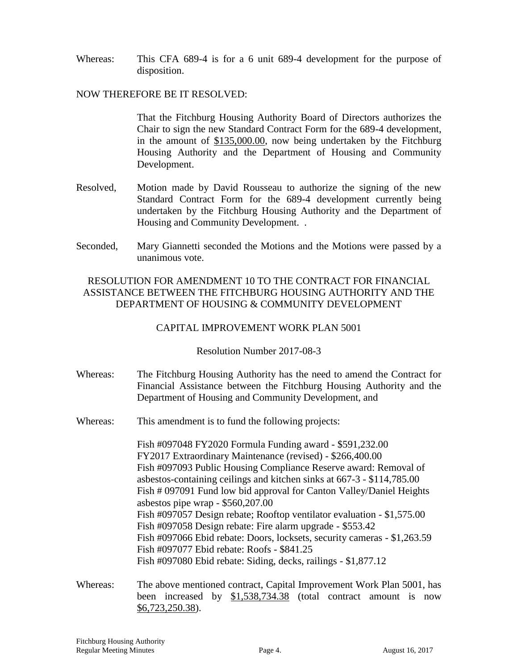Whereas: This CFA 689-4 is for a 6 unit 689-4 development for the purpose of disposition.

### NOW THEREFORE BE IT RESOLVED:

That the Fitchburg Housing Authority Board of Directors authorizes the Chair to sign the new Standard Contract Form for the 689-4 development, in the amount of \$135,000.00, now being undertaken by the Fitchburg Housing Authority and the Department of Housing and Community Development.

- Resolved, Motion made by David Rousseau to authorize the signing of the new Standard Contract Form for the 689-4 development currently being undertaken by the Fitchburg Housing Authority and the Department of Housing and Community Development. .
- Seconded, Mary Giannetti seconded the Motions and the Motions were passed by a unanimous vote.

# RESOLUTION FOR AMENDMENT 10 TO THE CONTRACT FOR FINANCIAL ASSISTANCE BETWEEN THE FITCHBURG HOUSING AUTHORITY AND THE DEPARTMENT OF HOUSING & COMMUNITY DEVELOPMENT

## CAPITAL IMPROVEMENT WORK PLAN 5001

Resolution Number 2017-08-3

- Whereas: The Fitchburg Housing Authority has the need to amend the Contract for Financial Assistance between the Fitchburg Housing Authority and the Department of Housing and Community Development, and
- Whereas: This amendment is to fund the following projects:

Fish #097048 FY2020 Formula Funding award - \$591,232.00 FY2017 Extraordinary Maintenance (revised) - \$266,400.00 Fish #097093 Public Housing Compliance Reserve award: Removal of asbestos-containing ceilings and kitchen sinks at 667-3 - \$114,785.00 Fish # 097091 Fund low bid approval for Canton Valley/Daniel Heights asbestos pipe wrap - \$560,207.00 Fish #097057 Design rebate; Rooftop ventilator evaluation - \$1,575.00 Fish #097058 Design rebate: Fire alarm upgrade - \$553.42 Fish #097066 Ebid rebate: Doors, locksets, security cameras - \$1,263.59 Fish #097077 Ebid rebate: Roofs - \$841.25 Fish #097080 Ebid rebate: Siding, decks, railings - \$1,877.12

Whereas: The above mentioned contract, Capital Improvement Work Plan 5001, has been increased by \$1,538,734.38 (total contract amount is now \$6,723,250.38).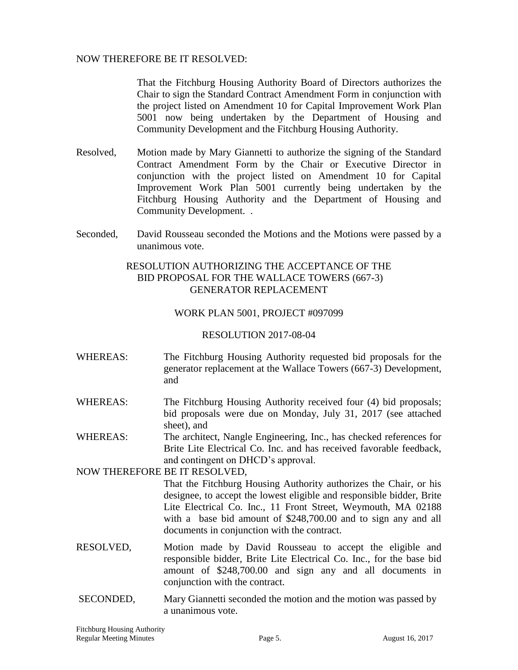## NOW THEREFORE BE IT RESOLVED:

That the Fitchburg Housing Authority Board of Directors authorizes the Chair to sign the Standard Contract Amendment Form in conjunction with the project listed on Amendment 10 for Capital Improvement Work Plan 5001 now being undertaken by the Department of Housing and Community Development and the Fitchburg Housing Authority.

- Resolved, Motion made by Mary Giannetti to authorize the signing of the Standard Contract Amendment Form by the Chair or Executive Director in conjunction with the project listed on Amendment 10 for Capital Improvement Work Plan 5001 currently being undertaken by the Fitchburg Housing Authority and the Department of Housing and Community Development. .
- Seconded, David Rousseau seconded the Motions and the Motions were passed by a unanimous vote.

# RESOLUTION AUTHORIZING THE ACCEPTANCE OF THE BID PROPOSAL FOR THE WALLACE TOWERS (667-3) GENERATOR REPLACEMENT

#### WORK PLAN 5001, PROJECT #097099

#### RESOLUTION 2017-08-04

- WHEREAS: The Fitchburg Housing Authority requested bid proposals for the generator replacement at the Wallace Towers (667-3) Development, and
- WHEREAS: The Fitchburg Housing Authority received four (4) bid proposals; bid proposals were due on Monday, July 31, 2017 (see attached sheet), and
- WHEREAS: The architect, Nangle Engineering, Inc., has checked references for Brite Lite Electrical Co. Inc. and has received favorable feedback, and contingent on DHCD's approval.

NOW THEREFORE BE IT RESOLVED,

- That the Fitchburg Housing Authority authorizes the Chair, or his designee, to accept the lowest eligible and responsible bidder, Brite Lite Electrical Co. Inc., 11 Front Street, Weymouth, MA 02188 with a base bid amount of \$248,700.00 and to sign any and all documents in conjunction with the contract.
- RESOLVED, Motion made by David Rousseau to accept the eligible and responsible bidder, Brite Lite Electrical Co. Inc., for the base bid amount of \$248,700.00 and sign any and all documents in conjunction with the contract.
- SECONDED, Mary Giannetti seconded the motion and the motion was passed by a unanimous vote.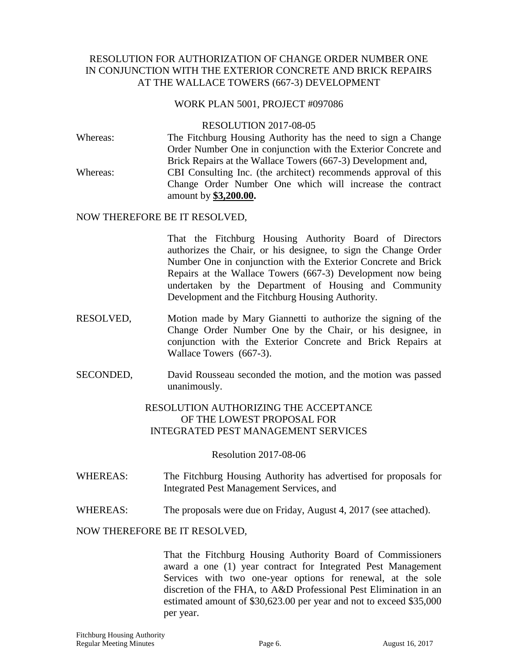# RESOLUTION FOR AUTHORIZATION OF CHANGE ORDER NUMBER ONE IN CONJUNCTION WITH THE EXTERIOR CONCRETE AND BRICK REPAIRS AT THE WALLACE TOWERS (667-3) DEVELOPMENT

#### WORK PLAN 5001, PROJECT #097086

#### RESOLUTION 2017-08-05

Whereas: The Fitchburg Housing Authority has the need to sign a Change Order Number One in conjunction with the Exterior Concrete and Brick Repairs at the Wallace Towers (667-3) Development and, Whereas: CBI Consulting Inc. (the architect) recommends approval of this Change Order Number One which will increase the contract amount by **\$3,200.00.**

#### NOW THEREFORE BE IT RESOLVED,

That the Fitchburg Housing Authority Board of Directors authorizes the Chair, or his designee, to sign the Change Order Number One in conjunction with the Exterior Concrete and Brick Repairs at the Wallace Towers (667-3) Development now being undertaken by the Department of Housing and Community Development and the Fitchburg Housing Authority.

- RESOLVED, Motion made by Mary Giannetti to authorize the signing of the Change Order Number One by the Chair, or his designee, in conjunction with the Exterior Concrete and Brick Repairs at Wallace Towers (667-3).
- SECONDED, David Rousseau seconded the motion, and the motion was passed unanimously.

# RESOLUTION AUTHORIZING THE ACCEPTANCE OF THE LOWEST PROPOSAL FOR INTEGRATED PEST MANAGEMENT SERVICES

#### Resolution 2017-08-06

- WHEREAS: The Fitchburg Housing Authority has advertised for proposals for Integrated Pest Management Services, and
- WHEREAS: The proposals were due on Friday, August 4, 2017 (see attached).

#### NOW THEREFORE BE IT RESOLVED,

That the Fitchburg Housing Authority Board of Commissioners award a one (1) year contract for Integrated Pest Management Services with two one-year options for renewal, at the sole discretion of the FHA, to A&D Professional Pest Elimination in an estimated amount of \$30,623.00 per year and not to exceed \$35,000 per year.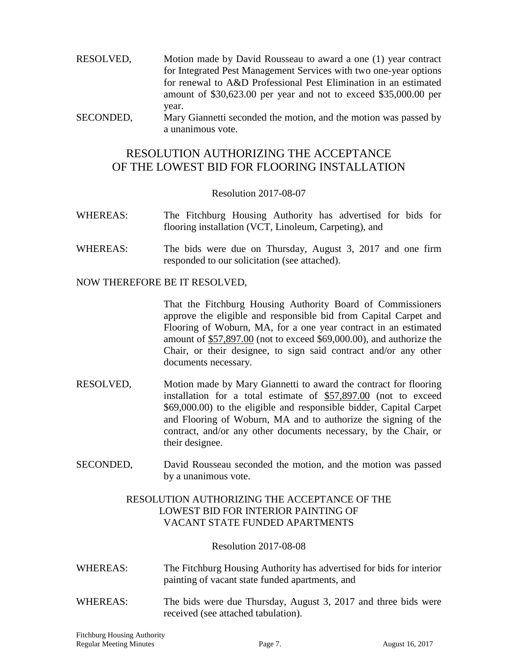- RESOLVED, Motion made by David Rousseau to award a one (1) year contract for Integrated Pest Management Services with two one-year options for renewal to A&D Professional Pest Elimination in an estimated amount of \$30,623.00 per year and not to exceed \$35,000.00 per year.
- SECONDED, Mary Giannetti seconded the motion, and the motion was passed by a unanimous vote.

# RESOLUTION AUTHORIZING THE ACCEPTANCE OF THE LOWEST BID FOR FLOORING INSTALLATION

## Resolution 2017-08-07

- WHEREAS: The Fitchburg Housing Authority has advertised for bids for flooring installation (VCT, Linoleum, Carpeting), and
- WHEREAS: The bids were due on Thursday, August 3, 2017 and one firm responded to our solicitation (see attached).

#### NOW THEREFORE BE IT RESOLVED,

That the Fitchburg Housing Authority Board of Commissioners approve the eligible and responsible bid from Capital Carpet and Flooring of Woburn, MA, for a one year contract in an estimated amount of \$57,897.00 (not to exceed \$69,000.00), and authorize the Chair, or their designee, to sign said contract and/or any other documents necessary.

- RESOLVED, Motion made by Mary Giannetti to award the contract for flooring installation for a total estimate of \$57,897.00 (not to exceed \$69,000.00) to the eligible and responsible bidder, Capital Carpet and Flooring of Woburn, MA and to authorize the signing of the contract, and/or any other documents necessary, by the Chair, or their designee.
- SECONDED, David Rousseau seconded the motion, and the motion was passed by a unanimous vote.

# RESOLUTION AUTHORIZING THE ACCEPTANCE OF THE LOWEST BID FOR INTERIOR PAINTING OF VACANT STATE FUNDED APARTMENTS

#### Resolution 2017-08-08

- WHEREAS: The Fitchburg Housing Authority has advertised for bids for interior painting of vacant state funded apartments, and
- WHEREAS: The bids were due Thursday, August 3, 2017 and three bids were received (see attached tabulation).